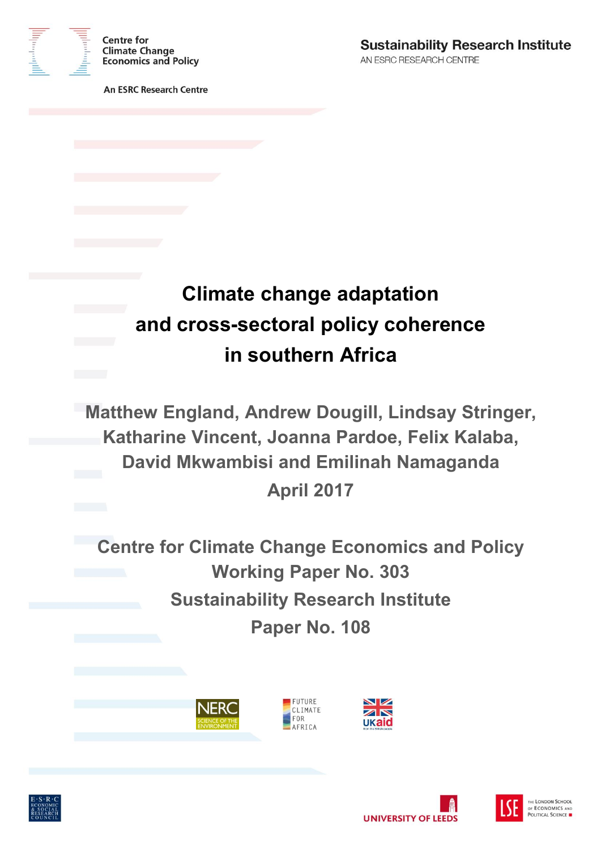

**An ESRC Research Centre** 

# **Climate change adaptation and cross-sectoral policy coherence in southern Africa**

**Matthew England, Andrew Dougill, Lindsay Stringer, Katharine Vincent, Joanna Pardoe, Felix Kalaba, David Mkwambisi and Emilinah Namaganda April 2017**

**Centre for Climate Change Economics and Policy Working Paper No. 303 Sustainability Research Institute Paper No. 108**











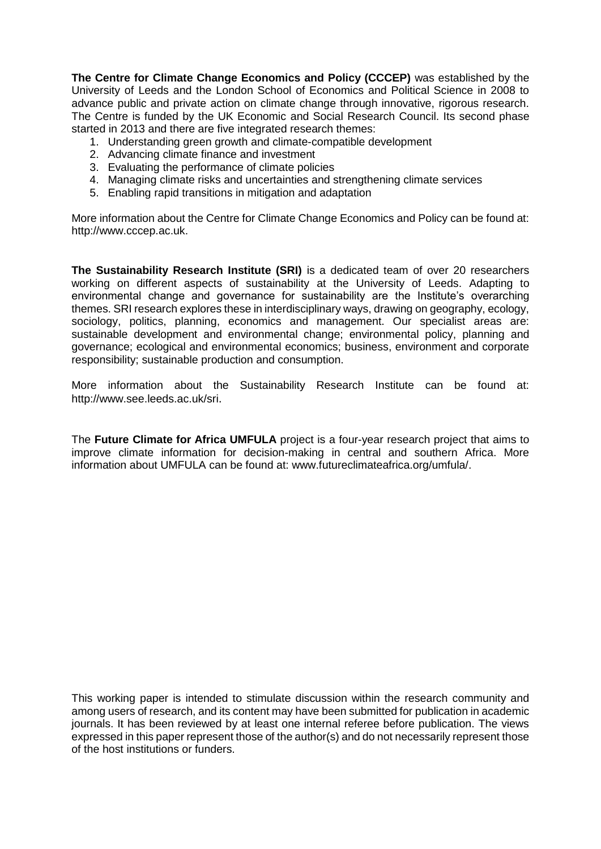**The Centre for Climate Change Economics and Policy (CCCEP)** was established by the University of Leeds and the London School of Economics and Political Science in 2008 to advance public and private action on climate change through innovative, rigorous research. The Centre is funded by the UK Economic and Social Research Council. Its second phase started in 2013 and there are five integrated research themes:

- 1. Understanding green growth and climate-compatible development
- 2. Advancing climate finance and investment
- 3. Evaluating the performance of climate policies
- 4. Managing climate risks and uncertainties and strengthening climate services
- 5. Enabling rapid transitions in mitigation and adaptation

More information about the Centre for Climate Change Economics and Policy can be found at: http://www.cccep.ac.uk.

**The Sustainability Research Institute (SRI)** is a dedicated team of over 20 researchers working on different aspects of sustainability at the University of Leeds. Adapting to environmental change and governance for sustainability are the Institute's overarching themes. SRI research explores these in interdisciplinary ways, drawing on geography, ecology, sociology, politics, planning, economics and management. Our specialist areas are: sustainable development and environmental change; environmental policy, planning and governance; ecological and environmental economics; business, environment and corporate responsibility; sustainable production and consumption.

More information about the Sustainability Research Institute can be found at: http://www.see.leeds.ac.uk/sri.

The **Future Climate for Africa UMFULA** project is a four-year research project that aims to improve climate information for decision-making in central and southern Africa. More information about UMFULA can be found at: www.futureclimateafrica.org/umfula/.

This working paper is intended to stimulate discussion within the research community and among users of research, and its content may have been submitted for publication in academic journals. It has been reviewed by at least one internal referee before publication. The views expressed in this paper represent those of the author(s) and do not necessarily represent those of the host institutions or funders.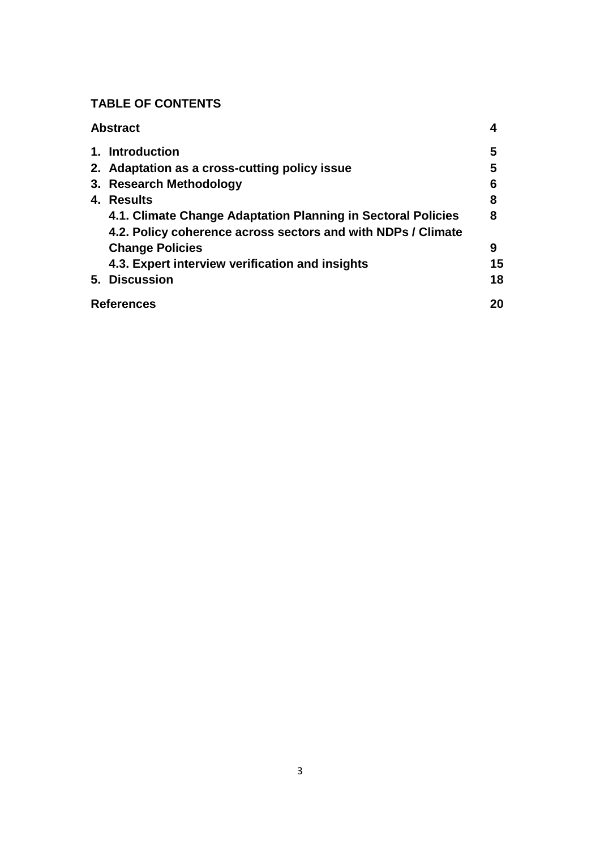# **TABLE OF CONTENTS**

| <b>Abstract</b>                                                                                                              | 4  |
|------------------------------------------------------------------------------------------------------------------------------|----|
| 1. Introduction                                                                                                              | 5  |
| 2. Adaptation as a cross-cutting policy issue                                                                                | 5  |
| 3. Research Methodology                                                                                                      | 6  |
| 4. Results                                                                                                                   | 8  |
| 4.1. Climate Change Adaptation Planning in Sectoral Policies<br>4.2. Policy coherence across sectors and with NDPs / Climate | 8  |
| <b>Change Policies</b>                                                                                                       | 9  |
| 4.3. Expert interview verification and insights                                                                              | 15 |
| 5. Discussion                                                                                                                | 18 |
| <b>References</b>                                                                                                            | 20 |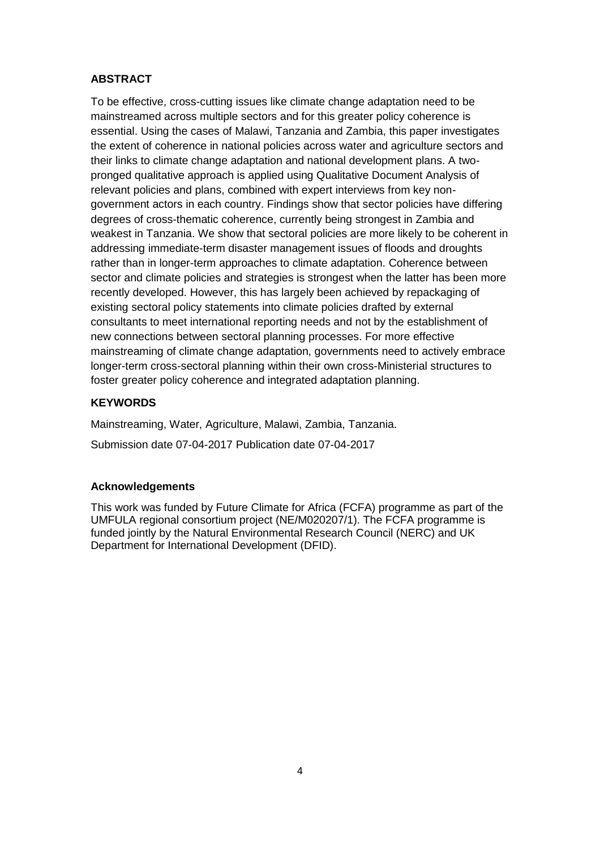#### **ABSTRACT**

To be effective, cross-cutting issues like climate change adaptation need to be mainstreamed across multiple sectors and for this greater policy coherence is essential. Using the cases of Malawi, Tanzania and Zambia, this paper investigates the extent of coherence in national policies across water and agriculture sectors and their links to climate change adaptation and national development plans. A twopronged qualitative approach is applied using Qualitative Document Analysis of relevant policies and plans, combined with expert interviews from key nongovernment actors in each country. Findings show that sector policies have differing degrees of cross-thematic coherence, currently being strongest in Zambia and weakest in Tanzania. We show that sectoral policies are more likely to be coherent in addressing immediate-term disaster management issues of floods and droughts rather than in longer-term approaches to climate adaptation. Coherence between sector and climate policies and strategies is strongest when the latter has been more recently developed. However, this has largely been achieved by repackaging of existing sectoral policy statements into climate policies drafted by external consultants to meet international reporting needs and not by the establishment of new connections between sectoral planning processes. For more effective mainstreaming of climate change adaptation, governments need to actively embrace longer-term cross-sectoral planning within their own cross-Ministerial structures to foster greater policy coherence and integrated adaptation planning.

#### **KEYWORDS**

Mainstreaming, Water, Agriculture, Malawi, Zambia, Tanzania.

Submission date 07-04-2017 Publication date 07-04-2017

#### **Acknowledgements**

This work was funded by Future Climate for Africa (FCFA) programme as part of the UMFULA regional consortium project (NE/M020207/1). The FCFA programme is funded jointly by the Natural Environmental Research Council (NERC) and UK Department for International Development (DFID).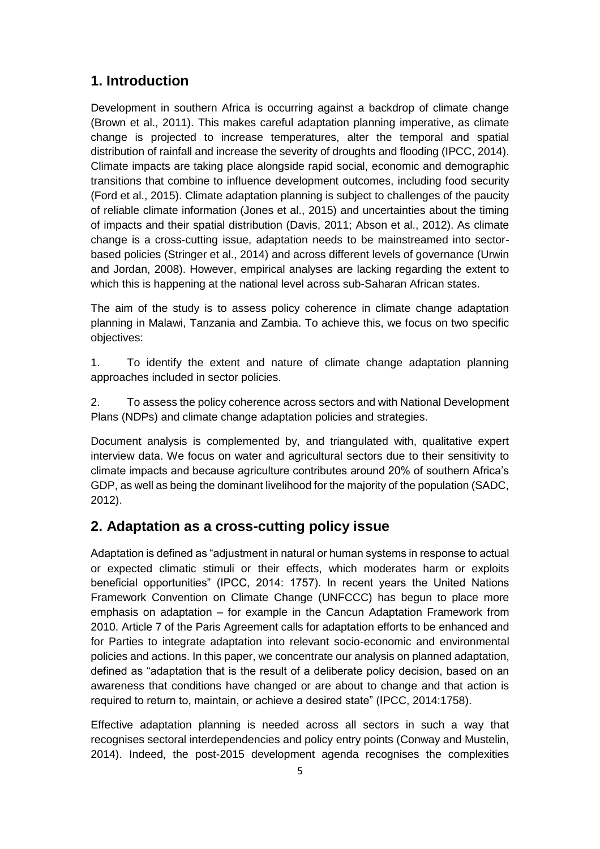# **1. Introduction**

Development in southern Africa is occurring against a backdrop of climate change (Brown et al., 2011). This makes careful adaptation planning imperative, as climate change is projected to increase temperatures, alter the temporal and spatial distribution of rainfall and increase the severity of droughts and flooding (IPCC, 2014). Climate impacts are taking place alongside rapid social, economic and demographic transitions that combine to influence development outcomes, including food security (Ford et al., 2015). Climate adaptation planning is subject to challenges of the paucity of reliable climate information (Jones et al., 2015) and uncertainties about the timing of impacts and their spatial distribution (Davis, 2011; Abson et al., 2012). As climate change is a cross-cutting issue, adaptation needs to be mainstreamed into sectorbased policies (Stringer et al., 2014) and across different levels of governance (Urwin and Jordan, 2008). However, empirical analyses are lacking regarding the extent to which this is happening at the national level across sub-Saharan African states.

The aim of the study is to assess policy coherence in climate change adaptation planning in Malawi, Tanzania and Zambia. To achieve this, we focus on two specific objectives:

1. To identify the extent and nature of climate change adaptation planning approaches included in sector policies.

2. To assess the policy coherence across sectors and with National Development Plans (NDPs) and climate change adaptation policies and strategies.

Document analysis is complemented by, and triangulated with, qualitative expert interview data. We focus on water and agricultural sectors due to their sensitivity to climate impacts and because agriculture contributes around 20% of southern Africa's GDP, as well as being the dominant livelihood for the majority of the population (SADC, 2012).

# **2. Adaptation as a cross-cutting policy issue**

Adaptation is defined as "adjustment in natural or human systems in response to actual or expected climatic stimuli or their effects, which moderates harm or exploits beneficial opportunities" (IPCC, 2014: 1757). In recent years the United Nations Framework Convention on Climate Change (UNFCCC) has begun to place more emphasis on adaptation – for example in the Cancun Adaptation Framework from 2010. Article 7 of the Paris Agreement calls for adaptation efforts to be enhanced and for Parties to integrate adaptation into relevant socio-economic and environmental policies and actions. In this paper, we concentrate our analysis on planned adaptation, defined as "adaptation that is the result of a deliberate policy decision, based on an awareness that conditions have changed or are about to change and that action is required to return to, maintain, or achieve a desired state" (IPCC, 2014:1758).

Effective adaptation planning is needed across all sectors in such a way that recognises sectoral interdependencies and policy entry points (Conway and Mustelin, 2014). Indeed, the post-2015 development agenda recognises the complexities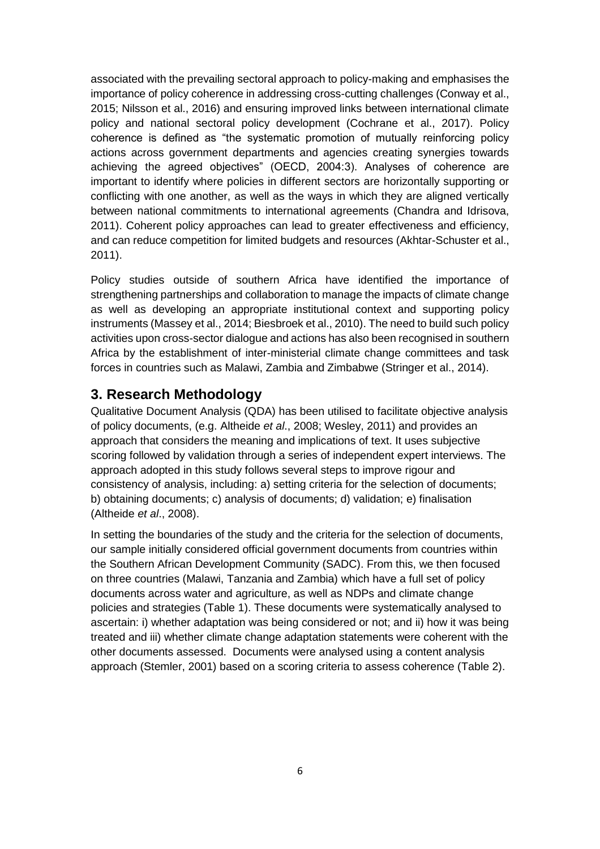associated with the prevailing sectoral approach to policy-making and emphasises the importance of policy coherence in addressing cross-cutting challenges (Conway et al., 2015; Nilsson et al., 2016) and ensuring improved links between international climate policy and national sectoral policy development (Cochrane et al., 2017). Policy coherence is defined as "the systematic promotion of mutually reinforcing policy actions across government departments and agencies creating synergies towards achieving the agreed objectives" (OECD, 2004:3). Analyses of coherence are important to identify where policies in different sectors are horizontally supporting or conflicting with one another, as well as the ways in which they are aligned vertically between national commitments to international agreements (Chandra and Idrisova, 2011). Coherent policy approaches can lead to greater effectiveness and efficiency, and can reduce competition for limited budgets and resources (Akhtar-Schuster et al., 2011).

Policy studies outside of southern Africa have identified the importance of strengthening partnerships and collaboration to manage the impacts of climate change as well as developing an appropriate institutional context and supporting policy instruments (Massey et al., 2014; Biesbroek et al., 2010). The need to build such policy activities upon cross-sector dialogue and actions has also been recognised in southern Africa by the establishment of inter-ministerial climate change committees and task forces in countries such as Malawi, Zambia and Zimbabwe (Stringer et al., 2014).

## **3. Research Methodology**

Qualitative Document Analysis (QDA) has been utilised to facilitate objective analysis of policy documents, (e.g. Altheide *et al*., 2008; Wesley, 2011) and provides an approach that considers the meaning and implications of text. It uses subjective scoring followed by validation through a series of independent expert interviews. The approach adopted in this study follows several steps to improve rigour and consistency of analysis, including: a) setting criteria for the selection of documents; b) obtaining documents; c) analysis of documents; d) validation; e) finalisation (Altheide *et al*., 2008).

In setting the boundaries of the study and the criteria for the selection of documents, our sample initially considered official government documents from countries within the Southern African Development Community (SADC). From this, we then focused on three countries (Malawi, Tanzania and Zambia) which have a full set of policy documents across water and agriculture, as well as NDPs and climate change policies and strategies (Table 1). These documents were systematically analysed to ascertain: i) whether adaptation was being considered or not; and ii) how it was being treated and iii) whether climate change adaptation statements were coherent with the other documents assessed. Documents were analysed using a content analysis approach (Stemler, 2001) based on a scoring criteria to assess coherence (Table 2).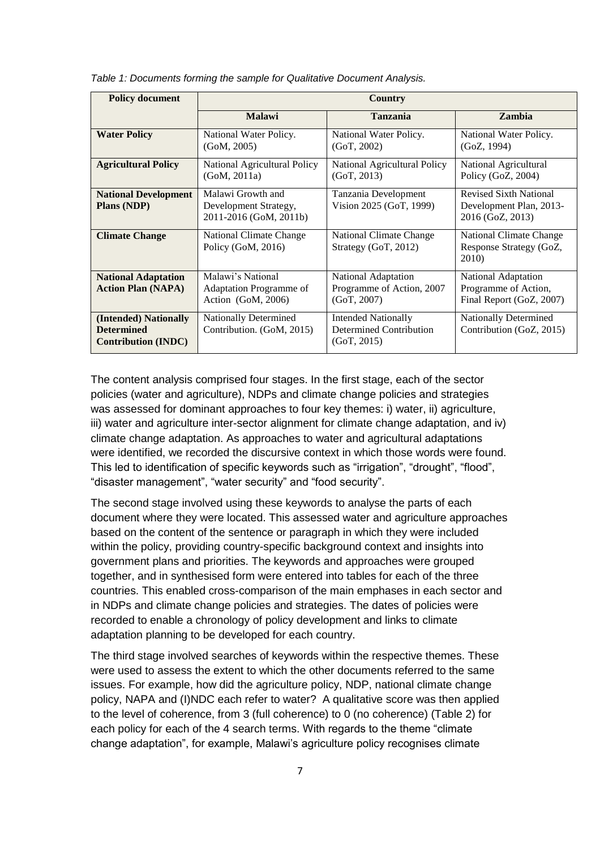| <b>Policy document</b>                                                   | <b>Country</b>                                                            |                                                                             |                                                                              |  |  |  |  |
|--------------------------------------------------------------------------|---------------------------------------------------------------------------|-----------------------------------------------------------------------------|------------------------------------------------------------------------------|--|--|--|--|
|                                                                          | <b>Malawi</b>                                                             | <b>Tanzania</b>                                                             | Zambia                                                                       |  |  |  |  |
| <b>Water Policy</b>                                                      | National Water Policy.<br>(GoM, 2005)                                     | National Water Policy.<br>(GoT, 2002)                                       | National Water Policy.<br>(GoZ, 1994)                                        |  |  |  |  |
| <b>Agricultural Policy</b>                                               | National Agricultural Policy<br>(GoM, 2011a)                              | National Agricultural Policy<br>(GoT, 2013)                                 | National Agricultural<br>Policy (GoZ, 2004)                                  |  |  |  |  |
| <b>National Development</b><br>Plans (NDP)                               | Malawi Growth and<br>Development Strategy,<br>2011-2016 (GoM, 2011b)      | Tanzania Development<br>Vision 2025 (GoT, 1999)                             | <b>Revised Sixth National</b><br>Development Plan, 2013-<br>2016 (GoZ, 2013) |  |  |  |  |
| <b>Climate Change</b>                                                    | National Climate Change<br>Policy (GoM, 2016)                             | <b>National Climate Change</b><br>Strategy (GoT, 2012)                      | <b>National Climate Change</b><br>Response Strategy (GoZ,<br>2010)           |  |  |  |  |
| <b>National Adaptation</b><br><b>Action Plan (NAPA)</b>                  | Malawi's National<br><b>Adaptation Programme of</b><br>Action (GoM, 2006) | National Adaptation<br>Programme of Action, 2007<br>(GoT, 2007)             | National Adaptation<br>Programme of Action,<br>Final Report (GoZ, 2007)      |  |  |  |  |
| (Intended) Nationally<br><b>Determined</b><br><b>Contribution (INDC)</b> | <b>Nationally Determined</b><br>Contribution. (GoM, 2015)                 | <b>Intended Nationally</b><br><b>Determined Contribution</b><br>(GoT, 2015) | <b>Nationally Determined</b><br>Contribution (GoZ, 2015)                     |  |  |  |  |

*Table 1: Documents forming the sample for Qualitative Document Analysis.*

The content analysis comprised four stages. In the first stage, each of the sector policies (water and agriculture), NDPs and climate change policies and strategies was assessed for dominant approaches to four key themes: i) water, ii) agriculture, iii) water and agriculture inter-sector alignment for climate change adaptation, and iv) climate change adaptation. As approaches to water and agricultural adaptations were identified, we recorded the discursive context in which those words were found. This led to identification of specific keywords such as "irrigation", "drought", "flood", "disaster management", "water security" and "food security".

The second stage involved using these keywords to analyse the parts of each document where they were located. This assessed water and agriculture approaches based on the content of the sentence or paragraph in which they were included within the policy, providing country-specific background context and insights into government plans and priorities. The keywords and approaches were grouped together, and in synthesised form were entered into tables for each of the three countries. This enabled cross-comparison of the main emphases in each sector and in NDPs and climate change policies and strategies. The dates of policies were recorded to enable a chronology of policy development and links to climate adaptation planning to be developed for each country.

The third stage involved searches of keywords within the respective themes. These were used to assess the extent to which the other documents referred to the same issues. For example, how did the agriculture policy, NDP, national climate change policy, NAPA and (I)NDC each refer to water? A qualitative score was then applied to the level of coherence, from 3 (full coherence) to 0 (no coherence) (Table 2) for each policy for each of the 4 search terms. With regards to the theme "climate change adaptation", for example, Malawi's agriculture policy recognises climate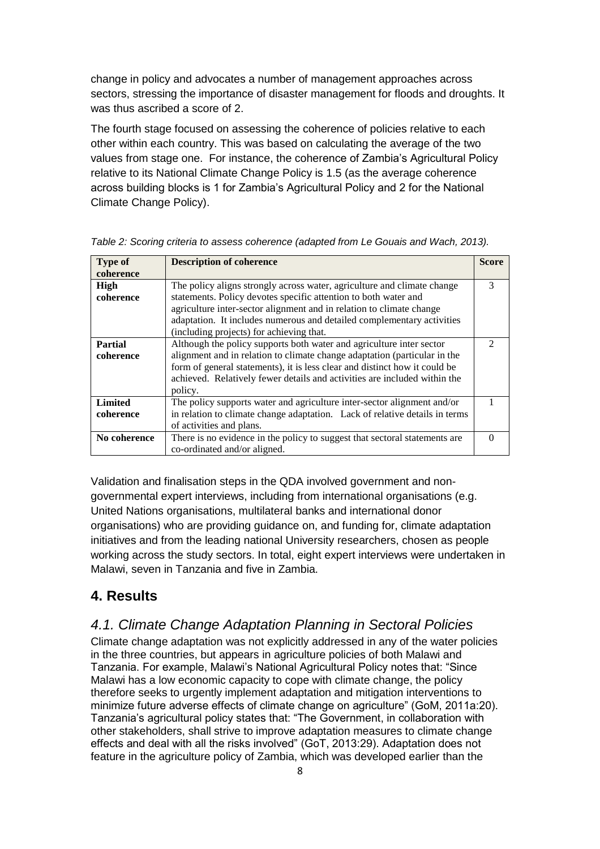change in policy and advocates a number of management approaches across sectors, stressing the importance of disaster management for floods and droughts. It was thus ascribed a score of 2.

The fourth stage focused on assessing the coherence of policies relative to each other within each country. This was based on calculating the average of the two values from stage one. For instance, the coherence of Zambia's Agricultural Policy relative to its National Climate Change Policy is 1.5 (as the average coherence across building blocks is 1 for Zambia's Agricultural Policy and 2 for the National Climate Change Policy).

| <b>Type of</b><br>coherence | <b>Description of coherence</b>                                                                                                                                                                                                                                                                                                          | <b>Score</b> |
|-----------------------------|------------------------------------------------------------------------------------------------------------------------------------------------------------------------------------------------------------------------------------------------------------------------------------------------------------------------------------------|--------------|
| High<br>coherence           | The policy aligns strongly across water, agriculture and climate change<br>statements. Policy devotes specific attention to both water and<br>agriculture inter-sector alignment and in relation to climate change<br>adaptation. It includes numerous and detailed complementary activities<br>(including projects) for achieving that. | 3            |
| <b>Partial</b><br>coherence | Although the policy supports both water and agriculture inter sector<br>alignment and in relation to climate change adaptation (particular in the<br>form of general statements), it is less clear and distinct how it could be<br>achieved. Relatively fewer details and activities are included within the<br>policy.                  | 7            |
| <b>Limited</b><br>coherence | The policy supports water and agriculture inter-sector alignment and/or<br>in relation to climate change adaptation. Lack of relative details in terms<br>of activities and plans.                                                                                                                                                       |              |
| No coherence                | There is no evidence in the policy to suggest that sectoral statements are<br>co-ordinated and/or aligned.                                                                                                                                                                                                                               | ∩            |

*Table 2: Scoring criteria to assess coherence (adapted from Le Gouais and Wach, 2013).*

Validation and finalisation steps in the QDA involved government and nongovernmental expert interviews, including from international organisations (e.g. United Nations organisations, multilateral banks and international donor organisations) who are providing guidance on, and funding for, climate adaptation initiatives and from the leading national University researchers, chosen as people working across the study sectors. In total, eight expert interviews were undertaken in Malawi, seven in Tanzania and five in Zambia.

## **4. Results**

## *4.1. Climate Change Adaptation Planning in Sectoral Policies*

Climate change adaptation was not explicitly addressed in any of the water policies in the three countries, but appears in agriculture policies of both Malawi and Tanzania. For example, Malawi's National Agricultural Policy notes that: "Since Malawi has a low economic capacity to cope with climate change, the policy therefore seeks to urgently implement adaptation and mitigation interventions to minimize future adverse effects of climate change on agriculture" (GoM, 2011a:20). Tanzania's agricultural policy states that: "The Government, in collaboration with other stakeholders, shall strive to improve adaptation measures to climate change effects and deal with all the risks involved" (GoT, 2013:29). Adaptation does not feature in the agriculture policy of Zambia, which was developed earlier than the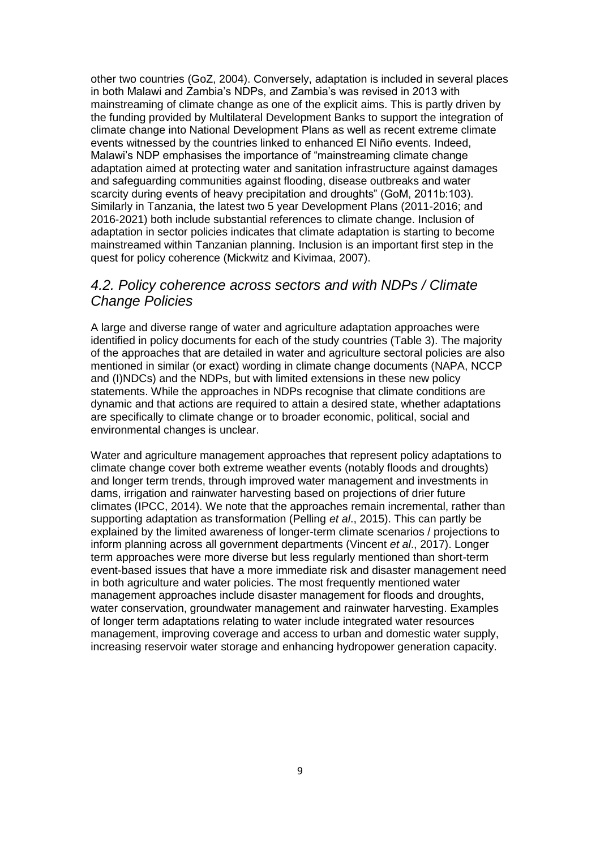other two countries (GoZ, 2004). Conversely, adaptation is included in several places in both Malawi and Zambia's NDPs, and Zambia's was revised in 2013 with mainstreaming of climate change as one of the explicit aims. This is partly driven by the funding provided by Multilateral Development Banks to support the integration of climate change into National Development Plans as well as recent extreme climate events witnessed by the countries linked to enhanced El Niño events. Indeed, Malawi's NDP emphasises the importance of "mainstreaming climate change adaptation aimed at protecting water and sanitation infrastructure against damages and safeguarding communities against flooding, disease outbreaks and water scarcity during events of heavy precipitation and droughts" (GoM, 2011b:103). Similarly in Tanzania, the latest two 5 year Development Plans (2011-2016; and 2016-2021) both include substantial references to climate change. Inclusion of adaptation in sector policies indicates that climate adaptation is starting to become mainstreamed within Tanzanian planning. Inclusion is an important first step in the quest for policy coherence (Mickwitz and Kivimaa, 2007).

## *4.2. Policy coherence across sectors and with NDPs / Climate Change Policies*

A large and diverse range of water and agriculture adaptation approaches were identified in policy documents for each of the study countries (Table 3). The majority of the approaches that are detailed in water and agriculture sectoral policies are also mentioned in similar (or exact) wording in climate change documents (NAPA, NCCP and (I)NDCs) and the NDPs, but with limited extensions in these new policy statements. While the approaches in NDPs recognise that climate conditions are dynamic and that actions are required to attain a desired state, whether adaptations are specifically to climate change or to broader economic, political, social and environmental changes is unclear.

Water and agriculture management approaches that represent policy adaptations to climate change cover both extreme weather events (notably floods and droughts) and longer term trends, through improved water management and investments in dams, irrigation and rainwater harvesting based on projections of drier future climates (IPCC, 2014). We note that the approaches remain incremental, rather than supporting adaptation as transformation (Pelling *et al*., 2015). This can partly be explained by the limited awareness of longer-term climate scenarios / projections to inform planning across all government departments (Vincent *et al*., 2017). Longer term approaches were more diverse but less regularly mentioned than short-term event-based issues that have a more immediate risk and disaster management need in both agriculture and water policies. The most frequently mentioned water management approaches include disaster management for floods and droughts, water conservation, groundwater management and rainwater harvesting. Examples of longer term adaptations relating to water include integrated water resources management, improving coverage and access to urban and domestic water supply, increasing reservoir water storage and enhancing hydropower generation capacity.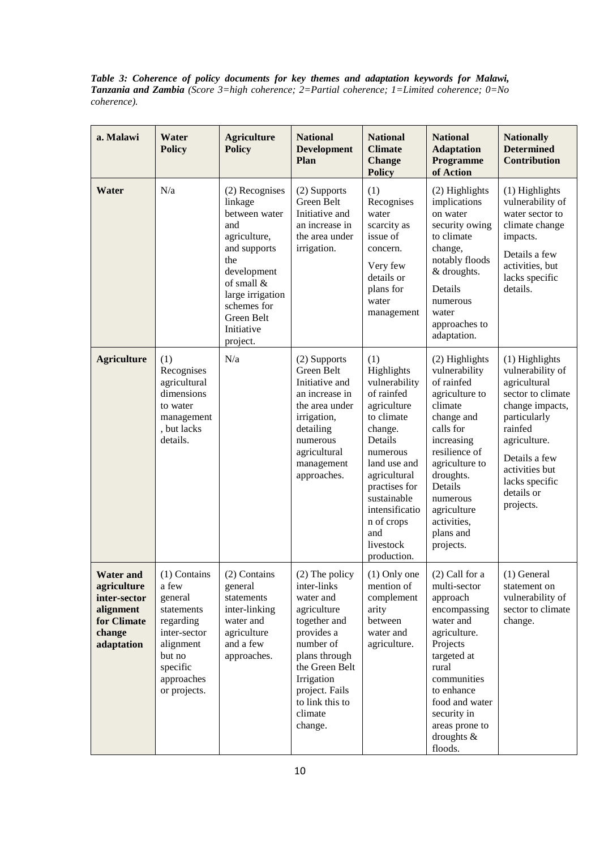*Table 3: Coherence of policy documents for key themes and adaptation keywords for Malawi, Tanzania and Zambia (Score 3=high coherence; 2=Partial coherence; 1=Limited coherence; 0=No coherence).*

| a. Malawi                                                                                           | Water<br><b>Policy</b>                                                                                                                         | <b>Agriculture</b><br><b>Policy</b>                                                                                                                                                              | <b>National</b><br><b>Development</b><br>Plan                                                                                                                                                                    | <b>National</b><br><b>Climate</b><br><b>Change</b><br><b>Policy</b>                                                                                                                                                                                | <b>National</b><br><b>Adaptation</b><br>Programme<br>of Action                                                                                                                                                                                     | <b>Nationally</b><br><b>Determined</b><br><b>Contribution</b>                                                                                                                                                         |
|-----------------------------------------------------------------------------------------------------|------------------------------------------------------------------------------------------------------------------------------------------------|--------------------------------------------------------------------------------------------------------------------------------------------------------------------------------------------------|------------------------------------------------------------------------------------------------------------------------------------------------------------------------------------------------------------------|----------------------------------------------------------------------------------------------------------------------------------------------------------------------------------------------------------------------------------------------------|----------------------------------------------------------------------------------------------------------------------------------------------------------------------------------------------------------------------------------------------------|-----------------------------------------------------------------------------------------------------------------------------------------------------------------------------------------------------------------------|
| <b>Water</b>                                                                                        | N/a                                                                                                                                            | (2) Recognises<br>linkage<br>between water<br>and<br>agriculture,<br>and supports<br>the<br>development<br>of small &<br>large irrigation<br>schemes for<br>Green Belt<br>Initiative<br>project. | (2) Supports<br>Green Belt<br>Initiative and<br>an increase in<br>the area under<br>irrigation.                                                                                                                  | (1)<br>Recognises<br>water<br>scarcity as<br>issue of<br>concern.<br>Very few<br>details or<br>plans for<br>water<br>management                                                                                                                    | (2) Highlights<br>implications<br>on water<br>security owing<br>to climate<br>change,<br>notably floods<br>& droughts.<br>Details<br>numerous<br>water<br>approaches to<br>adaptation.                                                             | (1) Highlights<br>vulnerability of<br>water sector to<br>climate change<br>impacts.<br>Details a few<br>activities, but<br>lacks specific<br>details.                                                                 |
| <b>Agriculture</b>                                                                                  | (1)<br>Recognises<br>agricultural<br>dimensions<br>to water<br>management<br>, but lacks<br>details.                                           | N/a                                                                                                                                                                                              | (2) Supports<br>Green Belt<br>Initiative and<br>an increase in<br>the area under<br>irrigation,<br>detailing<br>numerous<br>agricultural<br>management<br>approaches.                                            | (1)<br>Highlights<br>vulnerability<br>of rainfed<br>agriculture<br>to climate<br>change.<br>Details<br>numerous<br>land use and<br>agricultural<br>practises for<br>sustainable<br>intensificatio<br>n of crops<br>and<br>livestock<br>production. | (2) Highlights<br>vulnerability<br>of rainfed<br>agriculture to<br>climate<br>change and<br>calls for<br>increasing<br>resilience of<br>agriculture to<br>droughts.<br>Details<br>numerous<br>agriculture<br>activities,<br>plans and<br>projects. | (1) Highlights<br>vulnerability of<br>agricultural<br>sector to climate<br>change impacts,<br>particularly<br>rainfed<br>agriculture.<br>Details a few<br>activities but<br>lacks specific<br>details or<br>projects. |
| <b>Water and</b><br>agriculture<br>inter-sector<br>alignment<br>for Climate<br>change<br>adaptation | $(1)$ Contains<br>a few<br>general<br>statements<br>regarding<br>inter-sector<br>alignment<br>but no<br>specific<br>approaches<br>or projects. | (2) Contains<br>general<br>statements<br>inter-linking<br>water and<br>agriculture<br>and a few<br>approaches.                                                                                   | (2) The policy<br>inter-links<br>water and<br>agriculture<br>together and<br>provides a<br>number of<br>plans through<br>the Green Belt<br>Irrigation<br>project. Fails<br>to link this to<br>climate<br>change. | $(1)$ Only one<br>mention of<br>complement<br>arity<br>between<br>water and<br>agriculture.                                                                                                                                                        | $(2)$ Call for a<br>multi-sector<br>approach<br>encompassing<br>water and<br>agriculture.<br>Projects<br>targeted at<br>rural<br>communities<br>to enhance<br>food and water<br>security in<br>areas prone to<br>droughts &<br>floods.             | $(1)$ General<br>statement on<br>vulnerability of<br>sector to climate<br>change.                                                                                                                                     |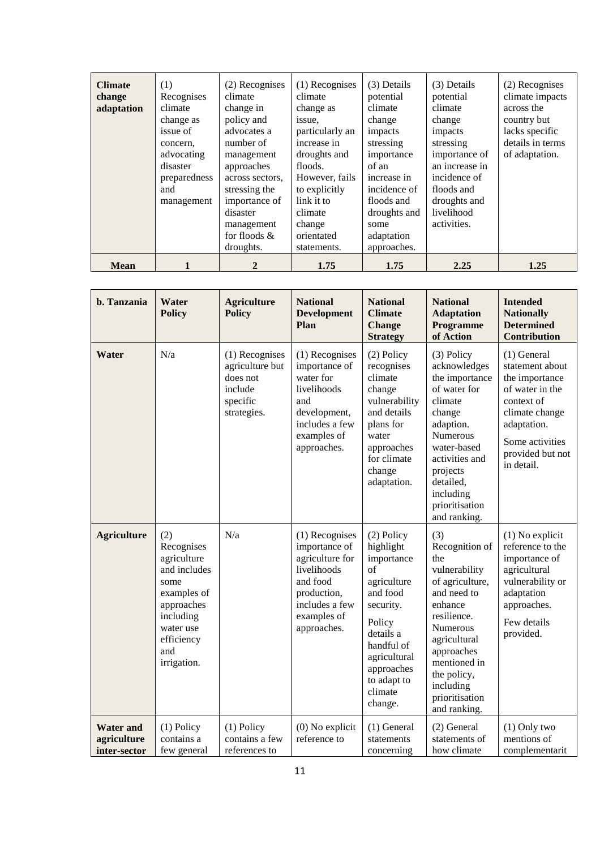| <b>Climate</b><br>change<br>adaptation | (1)<br>Recognises<br>climate<br>change as<br>issue of<br>concern,<br>advocating<br>disaster<br>preparedness<br>and<br>management | (2) Recognises<br>climate<br>change in<br>policy and<br>advocates a<br>number of<br>management<br>approaches<br>across sectors,<br>stressing the<br>importance of<br>disaster<br>management<br>for floods $\&$<br>droughts. | $(1)$ Recognises<br>climate<br>change as<br>issue.<br>particularly an<br>increase in<br>droughts and<br>floods.<br>However, fails<br>to explicitly<br>link it to<br>climate<br>change<br>orientated<br>statements. | (3) Details<br>potential<br>climate<br>change<br>impacts<br>stressing<br>importance<br>of an<br>increase in<br>incidence of<br>floods and<br>droughts and<br>some<br>adaptation<br>approaches. | (3) Details<br>potential<br>climate<br>change<br>impacts<br>stressing<br>importance of<br>an increase in<br>incidence of<br>floods and<br>droughts and<br>livelihood<br>activities. | (2) Recognises<br>climate impacts<br>across the<br>country but<br>lacks specific<br>details in terms<br>of adaptation. |
|----------------------------------------|----------------------------------------------------------------------------------------------------------------------------------|-----------------------------------------------------------------------------------------------------------------------------------------------------------------------------------------------------------------------------|--------------------------------------------------------------------------------------------------------------------------------------------------------------------------------------------------------------------|------------------------------------------------------------------------------------------------------------------------------------------------------------------------------------------------|-------------------------------------------------------------------------------------------------------------------------------------------------------------------------------------|------------------------------------------------------------------------------------------------------------------------|
| <b>Mean</b>                            | 1                                                                                                                                |                                                                                                                                                                                                                             | 1.75                                                                                                                                                                                                               | 1.75                                                                                                                                                                                           | 2.25                                                                                                                                                                                | 1.25                                                                                                                   |

| b. Tanzania                                     | Water<br><b>Policy</b>                                                                                                                              | <b>Agriculture</b><br><b>Policy</b>                                                 | <b>National</b><br><b>Development</b><br>Plan                                                                                                | <b>National</b><br><b>Climate</b><br><b>Change</b><br><b>Strategy</b>                                                                                                                       | <b>National</b><br><b>Adaptation</b><br>Programme<br>of Action                                                                                                                                                                    | <b>Intended</b><br><b>Nationally</b><br><b>Determined</b><br><b>Contribution</b>                                                                                          |
|-------------------------------------------------|-----------------------------------------------------------------------------------------------------------------------------------------------------|-------------------------------------------------------------------------------------|----------------------------------------------------------------------------------------------------------------------------------------------|---------------------------------------------------------------------------------------------------------------------------------------------------------------------------------------------|-----------------------------------------------------------------------------------------------------------------------------------------------------------------------------------------------------------------------------------|---------------------------------------------------------------------------------------------------------------------------------------------------------------------------|
| Water                                           | N/a                                                                                                                                                 | (1) Recognises<br>agriculture but<br>does not<br>include<br>specific<br>strategies. | (1) Recognises<br>importance of<br>water for<br>livelihoods<br>and<br>development,<br>includes a few<br>examples of<br>approaches.           | (2) Policy<br>recognises<br>climate<br>change<br>vulnerability<br>and details<br>plans for<br>water<br>approaches<br>for climate<br>change<br>adaptation.                                   | (3) Policy<br>acknowledges<br>the importance<br>of water for<br>climate<br>change<br>adaption.<br>Numerous<br>water-based<br>activities and<br>projects<br>detailed,<br>including<br>prioritisation<br>and ranking.               | $(1)$ General<br>statement about<br>the importance<br>of water in the<br>context of<br>climate change<br>adaptation.<br>Some activities<br>provided but not<br>in detail. |
| <b>Agriculture</b>                              | (2)<br>Recognises<br>agriculture<br>and includes<br>some<br>examples of<br>approaches<br>including<br>water use<br>efficiency<br>and<br>irrigation. | N/a                                                                                 | (1) Recognises<br>importance of<br>agriculture for<br>livelihoods<br>and food<br>production,<br>includes a few<br>examples of<br>approaches. | (2) Policy<br>highlight<br>importance<br>of<br>agriculture<br>and food<br>security.<br>Policy<br>details a<br>handful of<br>agricultural<br>approaches<br>to adapt to<br>climate<br>change. | (3)<br>Recognition of<br>the<br>vulnerability<br>of agriculture,<br>and need to<br>enhance<br>resilience.<br>Numerous<br>agricultural<br>approaches<br>mentioned in<br>the policy,<br>including<br>prioritisation<br>and ranking. | $(1)$ No explicit<br>reference to the<br>importance of<br>agricultural<br>vulnerability or<br>adaptation<br>approaches.<br>Few details<br>provided.                       |
| <b>Water and</b><br>agriculture<br>inter-sector | $(1)$ Policy<br>contains a<br>few general                                                                                                           | $(1)$ Policy<br>contains a few<br>references to                                     | $(0)$ No explicit<br>reference to                                                                                                            | $(1)$ General<br>statements<br>concerning                                                                                                                                                   | (2) General<br>statements of<br>how climate                                                                                                                                                                                       | $(1)$ Only two<br>mentions of<br>complementarit                                                                                                                           |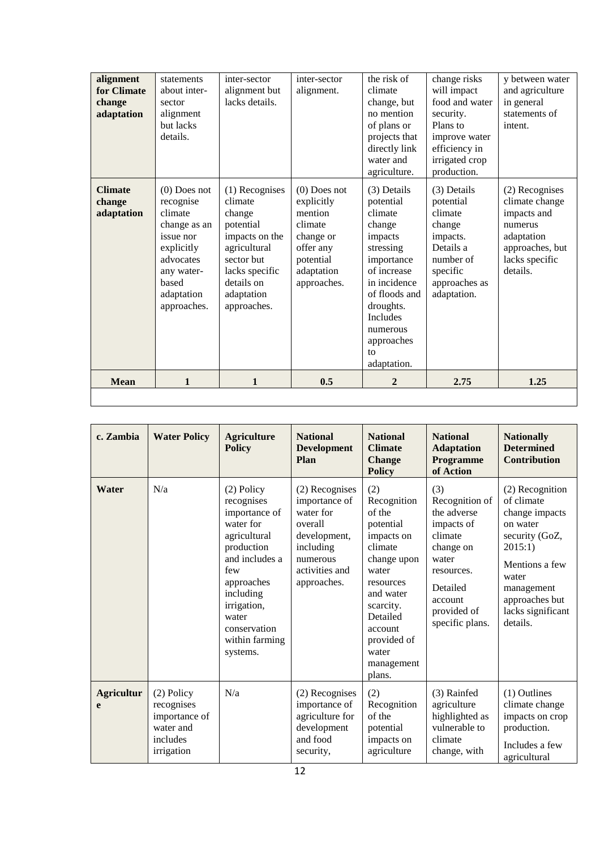| alignment<br>for Climate<br>change<br>adaptation | statements<br>about inter-<br>sector<br>alignment<br>but lacks<br>details.                                                                         | inter-sector<br>alignment but<br>lacks details.                                                                                                               | inter-sector<br>alignment.                                                                                             | the risk of<br>climate<br>change, but<br>no mention<br>of plans or<br>projects that<br>directly link<br>water and<br>agriculture.                                                                                                                                                                                                      | change risks<br>will impact<br>food and water<br>security.<br>Plans to<br>improve water<br>efficiency in<br>irrigated crop<br>production. | y between water<br>and agriculture<br>in general<br>statements of<br>intent.                                              |
|--------------------------------------------------|----------------------------------------------------------------------------------------------------------------------------------------------------|---------------------------------------------------------------------------------------------------------------------------------------------------------------|------------------------------------------------------------------------------------------------------------------------|----------------------------------------------------------------------------------------------------------------------------------------------------------------------------------------------------------------------------------------------------------------------------------------------------------------------------------------|-------------------------------------------------------------------------------------------------------------------------------------------|---------------------------------------------------------------------------------------------------------------------------|
| <b>Climate</b><br>change<br>adaptation           | $(0)$ Does not<br>recognise<br>climate<br>change as an<br>issue nor<br>explicitly<br>advocates<br>any water-<br>based<br>adaptation<br>approaches. | (1) Recognises<br>climate<br>change<br>potential<br>impacts on the<br>agricultural<br>sector but<br>lacks specific<br>details on<br>adaptation<br>approaches. | $(0)$ Does not<br>explicitly<br>mention<br>climate<br>change or<br>offer any<br>potential<br>adaptation<br>approaches. | (3) Details<br>(3) Details<br>potential<br>potential<br>climate<br>climate<br>change<br>change<br>impacts<br>impacts.<br>Details a<br>stressing<br>importance<br>number of<br>of increase<br>specific<br>in incidence<br>approaches as<br>of floods and<br>adaptation.<br>droughts.<br><b>Includes</b><br>numerous<br>approaches<br>to |                                                                                                                                           | (2) Recognises<br>climate change<br>impacts and<br>numerus<br>adaptation<br>approaches, but<br>lacks specific<br>details. |
| <b>Mean</b>                                      | 1                                                                                                                                                  | 1                                                                                                                                                             | 0.5                                                                                                                    | $\overline{2}$                                                                                                                                                                                                                                                                                                                         | 2.75                                                                                                                                      | 1.25                                                                                                                      |

| c. Zambia              | <b>Water Policy</b>                                                                | <b>Agriculture</b><br><b>Policy</b>                                                                                                                                                                            | <b>National</b><br><b>Development</b><br>Plan                                                                                     | <b>National</b><br><b>Climate</b><br><b>Change</b><br><b>Policy</b>                                                                                                                                      | <b>National</b><br><b>Adaptation</b><br>Programme<br>of Action                                                                                             | <b>Nationally</b><br><b>Determined</b><br><b>Contribution</b>                                                                                                                        |
|------------------------|------------------------------------------------------------------------------------|----------------------------------------------------------------------------------------------------------------------------------------------------------------------------------------------------------------|-----------------------------------------------------------------------------------------------------------------------------------|----------------------------------------------------------------------------------------------------------------------------------------------------------------------------------------------------------|------------------------------------------------------------------------------------------------------------------------------------------------------------|--------------------------------------------------------------------------------------------------------------------------------------------------------------------------------------|
| Water                  | N/a                                                                                | (2) Policy<br>recognises<br>importance of<br>water for<br>agricultural<br>production<br>and includes a<br>few<br>approaches<br>including<br>irrigation,<br>water<br>conservation<br>within farming<br>systems. | (2) Recognises<br>importance of<br>water for<br>overall<br>development,<br>including<br>numerous<br>activities and<br>approaches. | (2)<br>Recognition<br>of the<br>potential<br>impacts on<br>climate<br>change upon<br>water<br>resources<br>and water<br>scarcity.<br>Detailed<br>account<br>provided of<br>water<br>management<br>plans. | (3)<br>Recognition of<br>the adverse<br>impacts of<br>climate<br>change on<br>water<br>resources.<br>Detailed<br>account<br>provided of<br>specific plans. | (2) Recognition<br>of climate<br>change impacts<br>on water<br>security (GoZ,<br>2015:1)<br>Mentions a few<br>water<br>management<br>approaches but<br>lacks significant<br>details. |
| <b>Agricultur</b><br>e | $(2)$ Policy<br>recognises<br>importance of<br>water and<br>includes<br>irrigation | N/a                                                                                                                                                                                                            | (2) Recognises<br>importance of<br>agriculture for<br>development<br>and food<br>security,                                        | (2)<br>Recognition<br>of the<br>potential<br>impacts on<br>agriculture                                                                                                                                   | (3) Rainfed<br>agriculture<br>highlighted as<br>vulnerable to<br>climate<br>change, with                                                                   | $(1)$ Outlines<br>climate change<br>impacts on crop<br>production.<br>Includes a few<br>agricultural                                                                                 |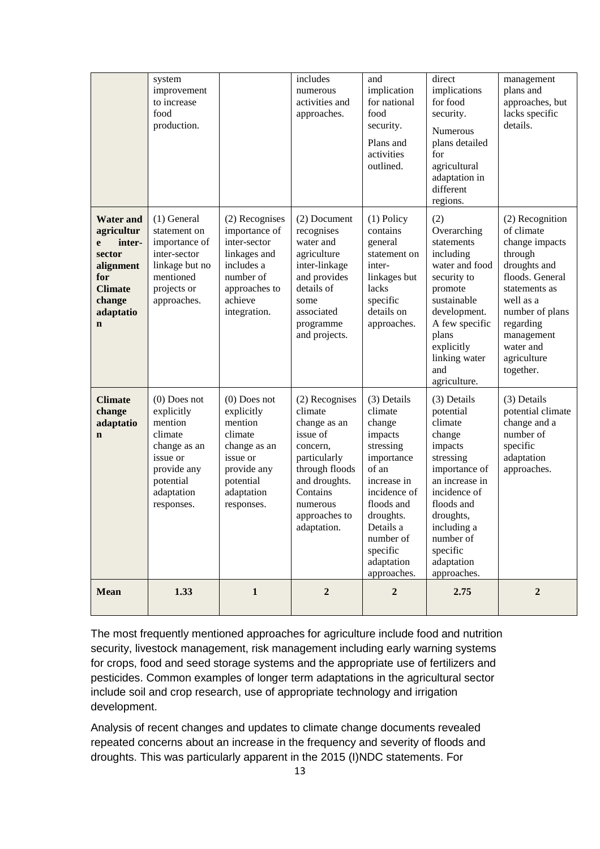|                                                                                                                                     | system<br>improvement<br>to increase<br>food<br>production.                                                                            |                                                                                                                                        | includes<br>numerous<br>activities and<br>approaches.                                                                                                                        | and<br>implication<br>for national<br>food<br>security.<br>Plans and<br>activities<br>outlined.                                                                                                              | direct<br>implications<br>for food<br>security.<br><b>Numerous</b><br>plans detailed<br>for<br>agricultural<br>adaptation in<br>different<br>regions.                                                                    | management<br>plans and<br>approaches, but<br>lacks specific<br>details.                                                                                                                                           |
|-------------------------------------------------------------------------------------------------------------------------------------|----------------------------------------------------------------------------------------------------------------------------------------|----------------------------------------------------------------------------------------------------------------------------------------|------------------------------------------------------------------------------------------------------------------------------------------------------------------------------|--------------------------------------------------------------------------------------------------------------------------------------------------------------------------------------------------------------|--------------------------------------------------------------------------------------------------------------------------------------------------------------------------------------------------------------------------|--------------------------------------------------------------------------------------------------------------------------------------------------------------------------------------------------------------------|
| <b>Water and</b><br>agricultur<br>inter-<br>e<br>sector<br>alignment<br>for<br><b>Climate</b><br>change<br>adaptatio<br>$\mathbf n$ | $(1)$ General<br>statement on<br>importance of<br>inter-sector<br>linkage but no<br>mentioned<br>projects or<br>approaches.            | (2) Recognises<br>importance of<br>inter-sector<br>linkages and<br>includes a<br>number of<br>approaches to<br>achieve<br>integration. | (2) Document<br>recognises<br>water and<br>agriculture<br>inter-linkage<br>and provides<br>details of<br>some<br>associated<br>programme<br>and projects.                    | $(1)$ Policy<br>contains<br>general<br>statement on<br>inter-<br>linkages but<br>lacks<br>specific<br>details on<br>approaches.                                                                              | (2)<br>Overarching<br>statements<br>including<br>water and food<br>security to<br>promote<br>sustainable<br>development.<br>A few specific<br>plans<br>explicitly<br>linking water<br>and<br>agriculture.                | (2) Recognition<br>of climate<br>change impacts<br>through<br>droughts and<br>floods. General<br>statements as<br>well as a<br>number of plans<br>regarding<br>management<br>water and<br>agriculture<br>together. |
| <b>Climate</b><br>change<br>adaptatio<br>$\mathbf n$                                                                                | $(0)$ Does not<br>explicitly<br>mention<br>climate<br>change as an<br>issue or<br>provide any<br>potential<br>adaptation<br>responses. | $(0)$ Does not<br>explicitly<br>mention<br>climate<br>change as an<br>issue or<br>provide any<br>potential<br>adaptation<br>responses. | (2) Recognises<br>climate<br>change as an<br>issue of<br>concern,<br>particularly<br>through floods<br>and droughts.<br>Contains<br>numerous<br>approaches to<br>adaptation. | (3) Details<br>climate<br>change<br>impacts<br>stressing<br>importance<br>of an<br>increase in<br>incidence of<br>floods and<br>droughts.<br>Details a<br>number of<br>specific<br>adaptation<br>approaches. | (3) Details<br>potential<br>climate<br>change<br>impacts<br>stressing<br>importance of<br>an increase in<br>incidence of<br>floods and<br>droughts,<br>including a<br>number of<br>specific<br>adaptation<br>approaches. | (3) Details<br>potential climate<br>change and a<br>number of<br>specific<br>adaptation<br>approaches.                                                                                                             |
| <b>Mean</b>                                                                                                                         | 1.33                                                                                                                                   | $\mathbf{1}$                                                                                                                           | $\overline{2}$                                                                                                                                                               | $\overline{2}$                                                                                                                                                                                               | 2.75                                                                                                                                                                                                                     | $\overline{2}$                                                                                                                                                                                                     |

The most frequently mentioned approaches for agriculture include food and nutrition security, livestock management, risk management including early warning systems for crops, food and seed storage systems and the appropriate use of fertilizers and pesticides. Common examples of longer term adaptations in the agricultural sector include soil and crop research, use of appropriate technology and irrigation development.

Analysis of recent changes and updates to climate change documents revealed repeated concerns about an increase in the frequency and severity of floods and droughts. This was particularly apparent in the 2015 (I)NDC statements. For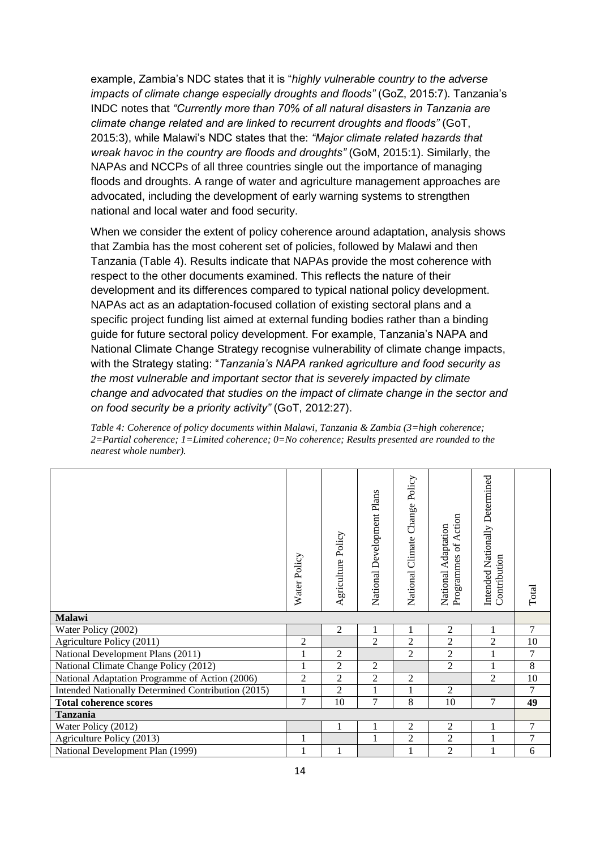example, Zambia's NDC states that it is "*highly vulnerable country to the adverse impacts of climate change especially droughts and floods"* (GoZ, 2015:7). Tanzania's INDC notes that *"Currently more than 70% of all natural disasters in Tanzania are climate change related and are linked to recurrent droughts and floods"* (GoT, 2015:3), while Malawi's NDC states that the: *"Major climate related hazards that wreak havoc in the country are floods and droughts"* (GoM, 2015:1). Similarly, the NAPAs and NCCPs of all three countries single out the importance of managing floods and droughts. A range of water and agriculture management approaches are advocated, including the development of early warning systems to strengthen national and local water and food security.

When we consider the extent of policy coherence around adaptation, analysis shows that Zambia has the most coherent set of policies, followed by Malawi and then Tanzania (Table 4). Results indicate that NAPAs provide the most coherence with respect to the other documents examined. This reflects the nature of their development and its differences compared to typical national policy development. NAPAs act as an adaptation-focused collation of existing sectoral plans and a specific project funding list aimed at external funding bodies rather than a binding guide for future sectoral policy development. For example, Tanzania's NAPA and National Climate Change Strategy recognise vulnerability of climate change impacts, with the Strategy stating: "*Tanzania's NAPA ranked agriculture and food security as the most vulnerable and important sector that is severely impacted by climate change and advocated that studies on the impact of climate change in the sector and on food security be a priority activity"* (GoT, 2012:27).

*Table 4: Coherence of policy documents within Malawi, Tanzania & Zambia (3=high coherence; 2=Partial coherence; 1=Limited coherence; 0=No coherence; Results presented are rounded to the nearest whole number).*

|                                                    | Water Policy   | Agriculture Policy | National Development Plans | National Climate Change Policy | Programmes of Action<br>National Adaptation | Intended Nationally Determined<br>Contribution | Total            |
|----------------------------------------------------|----------------|--------------------|----------------------------|--------------------------------|---------------------------------------------|------------------------------------------------|------------------|
| <b>Malawi</b>                                      |                |                    |                            |                                |                                             |                                                |                  |
| Water Policy (2002)                                |                | $\overline{2}$     | 1                          | 1                              | $\sqrt{2}$                                  | $\mathbf{1}$                                   | 7                |
| Agriculture Policy (2011)                          | $\overline{c}$ |                    | $\overline{2}$             | $\overline{c}$                 | $\overline{c}$                              | $\overline{2}$                                 | 10               |
| National Development Plans (2011)                  |                | $\overline{c}$     |                            | $\overline{2}$                 | $\overline{2}$                              |                                                | $\overline{7}$   |
|                                                    |                |                    |                            |                                |                                             |                                                |                  |
| National Climate Change Policy (2012)              |                | $\overline{2}$     | $\overline{2}$             |                                | $\overline{2}$                              | $\mathbf{1}$                                   | $\overline{8}$   |
| National Adaptation Programme of Action (2006)     | $\overline{2}$ | $\overline{c}$     | $\overline{2}$             | $\overline{c}$                 |                                             | $\overline{2}$                                 | 10               |
| Intended Nationally Determined Contribution (2015) |                | $\overline{2}$     | $\mathbf{1}$               |                                | $\overline{2}$                              |                                                | 7                |
| <b>Total coherence scores</b>                      | 7              | 10                 | $\overline{7}$             | 8                              | 10                                          | 7                                              | 49               |
| <b>Tanzania</b>                                    |                |                    |                            |                                |                                             |                                                |                  |
| Water Policy (2012)                                |                | 1                  | $\mathbf{1}$               | $\overline{2}$                 | $\overline{2}$                              | 1                                              | 7                |
| Agriculture Policy (2013)                          | $\mathbf{1}$   |                    | $\mathbf{1}$               | $\overline{2}$                 | $\overline{2}$                              | $\mathbf{1}$                                   | $\boldsymbol{7}$ |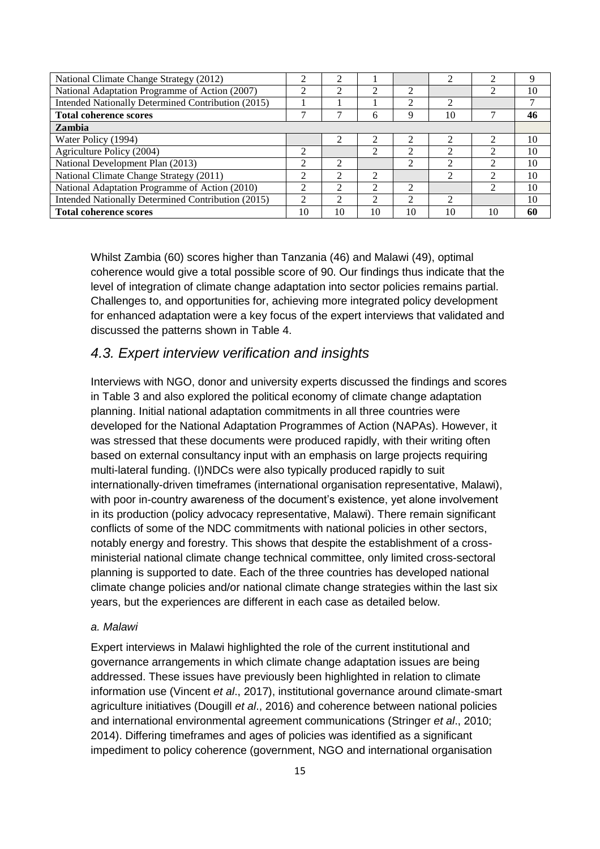| National Climate Change Strategy (2012)            |               |                |                             |                |                             |                             | q  |
|----------------------------------------------------|---------------|----------------|-----------------------------|----------------|-----------------------------|-----------------------------|----|
| National Adaptation Programme of Action (2007)     |               | ↑              | ◠                           | ↑              |                             | ↑                           | 10 |
| Intended Nationally Determined Contribution (2015) |               |                |                             | ◠              | ◠                           |                             |    |
| <b>Total coherence scores</b>                      |               |                | 6                           | 9              | 10                          |                             | 46 |
| <b>Zambia</b>                                      |               |                |                             |                |                             |                             |    |
| Water Policy (1994)                                |               | $\mathcal{L}$  | 2                           |                |                             | 2                           | 10 |
| Agriculture Policy (2004)                          |               |                | $\mathcal{D}_{\mathcal{L}}$ | $\mathfrak{D}$ |                             | $\mathcal{D}_{\mathcal{A}}$ | 10 |
| National Development Plan (2013)                   |               | $\mathfrak{D}$ |                             | $\mathcal{L}$  | $\mathcal{D}_{\mathcal{L}}$ | $\mathcal{D}_{\mathcal{L}}$ | 10 |
| National Climate Change Strategy (2011)            |               | $\mathfrak{D}$ | $\mathfrak{D}$              |                | $\mathfrak{D}$              | っ                           | 10 |
| National Adaptation Programme of Action (2010)     | $\mathcal{L}$ | $\mathcal{L}$  | ◠                           | $\mathfrak{D}$ |                             | っ                           | 10 |
| Intended Nationally Determined Contribution (2015) | ∍             | ↑              | ↑                           | ↑              | ↑                           |                             | 10 |
| <b>Total coherence scores</b>                      | 10            | 10             | 10                          | 10             | 10                          | 10                          | 60 |

Whilst Zambia (60) scores higher than Tanzania (46) and Malawi (49), optimal coherence would give a total possible score of 90. Our findings thus indicate that the level of integration of climate change adaptation into sector policies remains partial. Challenges to, and opportunities for, achieving more integrated policy development for enhanced adaptation were a key focus of the expert interviews that validated and discussed the patterns shown in Table 4.

### *4.3. Expert interview verification and insights*

Interviews with NGO, donor and university experts discussed the findings and scores in Table 3 and also explored the political economy of climate change adaptation planning. Initial national adaptation commitments in all three countries were developed for the National Adaptation Programmes of Action (NAPAs). However, it was stressed that these documents were produced rapidly, with their writing often based on external consultancy input with an emphasis on large projects requiring multi-lateral funding. (I)NDCs were also typically produced rapidly to suit internationally-driven timeframes (international organisation representative, Malawi), with poor in-country awareness of the document's existence, yet alone involvement in its production (policy advocacy representative, Malawi). There remain significant conflicts of some of the NDC commitments with national policies in other sectors, notably energy and forestry. This shows that despite the establishment of a crossministerial national climate change technical committee, only limited cross-sectoral planning is supported to date. Each of the three countries has developed national climate change policies and/or national climate change strategies within the last six years, but the experiences are different in each case as detailed below.

#### *a. Malawi*

Expert interviews in Malawi highlighted the role of the current institutional and governance arrangements in which climate change adaptation issues are being addressed. These issues have previously been highlighted in relation to climate information use (Vincent *et al*., 2017), institutional governance around climate-smart agriculture initiatives (Dougill *et al*., 2016) and coherence between national policies and international environmental agreement communications (Stringer *et al*., 2010; 2014). Differing timeframes and ages of policies was identified as a significant impediment to policy coherence (government, NGO and international organisation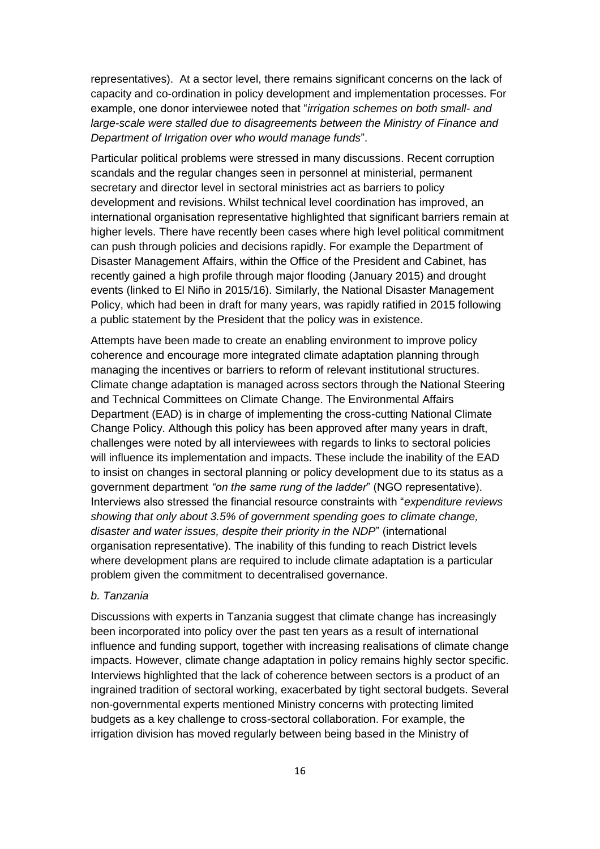representatives). At a sector level, there remains significant concerns on the lack of capacity and co-ordination in policy development and implementation processes. For example, one donor interviewee noted that "*irrigation schemes on both small- and large-scale were stalled due to disagreements between the Ministry of Finance and Department of Irrigation over who would manage funds*".

Particular political problems were stressed in many discussions. Recent corruption scandals and the regular changes seen in personnel at ministerial, permanent secretary and director level in sectoral ministries act as barriers to policy development and revisions. Whilst technical level coordination has improved, an international organisation representative highlighted that significant barriers remain at higher levels. There have recently been cases where high level political commitment can push through policies and decisions rapidly. For example the Department of Disaster Management Affairs, within the Office of the President and Cabinet, has recently gained a high profile through major flooding (January 2015) and drought events (linked to El Niño in 2015/16). Similarly, the National Disaster Management Policy, which had been in draft for many years, was rapidly ratified in 2015 following a public statement by the President that the policy was in existence.

Attempts have been made to create an enabling environment to improve policy coherence and encourage more integrated climate adaptation planning through managing the incentives or barriers to reform of relevant institutional structures. Climate change adaptation is managed across sectors through the National Steering and Technical Committees on Climate Change. The Environmental Affairs Department (EAD) is in charge of implementing the cross-cutting National Climate Change Policy. Although this policy has been approved after many years in draft, challenges were noted by all interviewees with regards to links to sectoral policies will influence its implementation and impacts. These include the inability of the EAD to insist on changes in sectoral planning or policy development due to its status as a government department *"on the same rung of the ladder*" (NGO representative). Interviews also stressed the financial resource constraints with "*expenditure reviews showing that only about 3.5% of government spending goes to climate change, disaster and water issues, despite their priority in the NDP*" (international organisation representative). The inability of this funding to reach District levels where development plans are required to include climate adaptation is a particular problem given the commitment to decentralised governance.

#### *b. Tanzania*

Discussions with experts in Tanzania suggest that climate change has increasingly been incorporated into policy over the past ten years as a result of international influence and funding support, together with increasing realisations of climate change impacts. However, climate change adaptation in policy remains highly sector specific. Interviews highlighted that the lack of coherence between sectors is a product of an ingrained tradition of sectoral working, exacerbated by tight sectoral budgets. Several non-governmental experts mentioned Ministry concerns with protecting limited budgets as a key challenge to cross-sectoral collaboration. For example, the irrigation division has moved regularly between being based in the Ministry of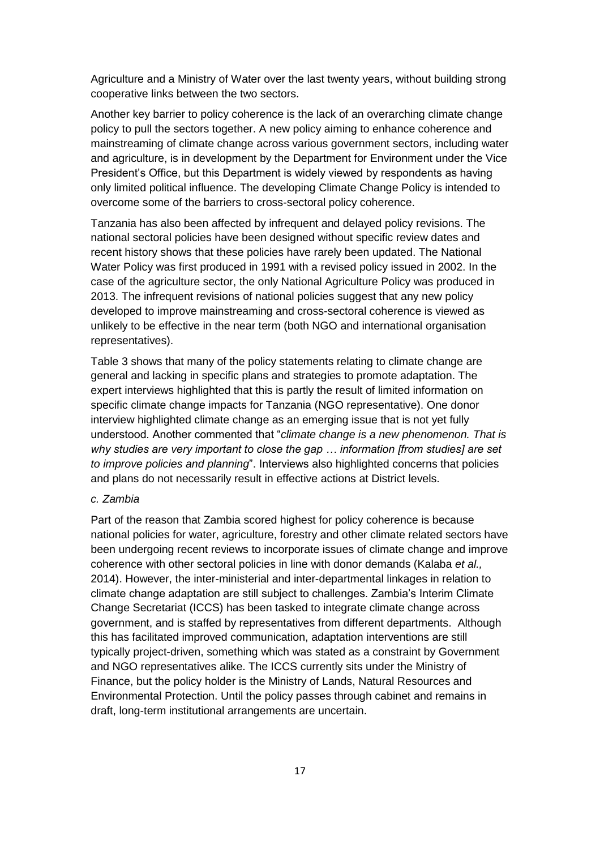Agriculture and a Ministry of Water over the last twenty years, without building strong cooperative links between the two sectors.

Another key barrier to policy coherence is the lack of an overarching climate change policy to pull the sectors together. A new policy aiming to enhance coherence and mainstreaming of climate change across various government sectors, including water and agriculture, is in development by the Department for Environment under the Vice President's Office, but this Department is widely viewed by respondents as having only limited political influence. The developing Climate Change Policy is intended to overcome some of the barriers to cross-sectoral policy coherence.

Tanzania has also been affected by infrequent and delayed policy revisions. The national sectoral policies have been designed without specific review dates and recent history shows that these policies have rarely been updated. The National Water Policy was first produced in 1991 with a revised policy issued in 2002. In the case of the agriculture sector, the only National Agriculture Policy was produced in 2013. The infrequent revisions of national policies suggest that any new policy developed to improve mainstreaming and cross-sectoral coherence is viewed as unlikely to be effective in the near term (both NGO and international organisation representatives).

Table 3 shows that many of the policy statements relating to climate change are general and lacking in specific plans and strategies to promote adaptation. The expert interviews highlighted that this is partly the result of limited information on specific climate change impacts for Tanzania (NGO representative). One donor interview highlighted climate change as an emerging issue that is not yet fully understood. Another commented that "*climate change is a new phenomenon. That is why studies are very important to close the gap … information [from studies] are set to improve policies and planning*". Interviews also highlighted concerns that policies and plans do not necessarily result in effective actions at District levels.

#### *c. Zambia*

Part of the reason that Zambia scored highest for policy coherence is because national policies for water, agriculture, forestry and other climate related sectors have been undergoing recent reviews to incorporate issues of climate change and improve coherence with other sectoral policies in line with donor demands (Kalaba *et al.,* 2014). However, the inter-ministerial and inter-departmental linkages in relation to climate change adaptation are still subject to challenges. Zambia's Interim Climate Change Secretariat (ICCS) has been tasked to integrate climate change across government, and is staffed by representatives from different departments. Although this has facilitated improved communication, adaptation interventions are still typically project-driven, something which was stated as a constraint by Government and NGO representatives alike. The ICCS currently sits under the Ministry of Finance, but the policy holder is the Ministry of Lands, Natural Resources and Environmental Protection. Until the policy passes through cabinet and remains in draft, long-term institutional arrangements are uncertain.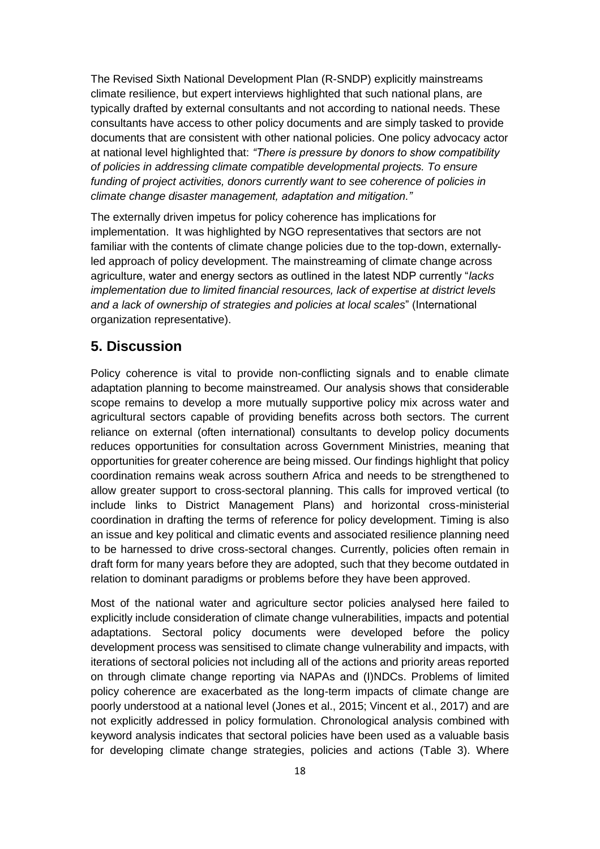The Revised Sixth National Development Plan (R-SNDP) explicitly mainstreams climate resilience, but expert interviews highlighted that such national plans, are typically drafted by external consultants and not according to national needs. These consultants have access to other policy documents and are simply tasked to provide documents that are consistent with other national policies. One policy advocacy actor at national level highlighted that: *"There is pressure by donors to show compatibility of policies in addressing climate compatible developmental projects. To ensure funding of project activities, donors currently want to see coherence of policies in climate change disaster management, adaptation and mitigation."*

The externally driven impetus for policy coherence has implications for implementation. It was highlighted by NGO representatives that sectors are not familiar with the contents of climate change policies due to the top-down, externallyled approach of policy development. The mainstreaming of climate change across agriculture, water and energy sectors as outlined in the latest NDP currently "*lacks implementation due to limited financial resources, lack of expertise at district levels and a lack of ownership of strategies and policies at local scales*" (International organization representative).

### **5. Discussion**

Policy coherence is vital to provide non-conflicting signals and to enable climate adaptation planning to become mainstreamed. Our analysis shows that considerable scope remains to develop a more mutually supportive policy mix across water and agricultural sectors capable of providing benefits across both sectors. The current reliance on external (often international) consultants to develop policy documents reduces opportunities for consultation across Government Ministries, meaning that opportunities for greater coherence are being missed. Our findings highlight that policy coordination remains weak across southern Africa and needs to be strengthened to allow greater support to cross-sectoral planning. This calls for improved vertical (to include links to District Management Plans) and horizontal cross-ministerial coordination in drafting the terms of reference for policy development. Timing is also an issue and key political and climatic events and associated resilience planning need to be harnessed to drive cross-sectoral changes. Currently, policies often remain in draft form for many years before they are adopted, such that they become outdated in relation to dominant paradigms or problems before they have been approved.

Most of the national water and agriculture sector policies analysed here failed to explicitly include consideration of climate change vulnerabilities, impacts and potential adaptations. Sectoral policy documents were developed before the policy development process was sensitised to climate change vulnerability and impacts, with iterations of sectoral policies not including all of the actions and priority areas reported on through climate change reporting via NAPAs and (I)NDCs. Problems of limited policy coherence are exacerbated as the long-term impacts of climate change are poorly understood at a national level (Jones et al., 2015; Vincent et al., 2017) and are not explicitly addressed in policy formulation. Chronological analysis combined with keyword analysis indicates that sectoral policies have been used as a valuable basis for developing climate change strategies, policies and actions (Table 3). Where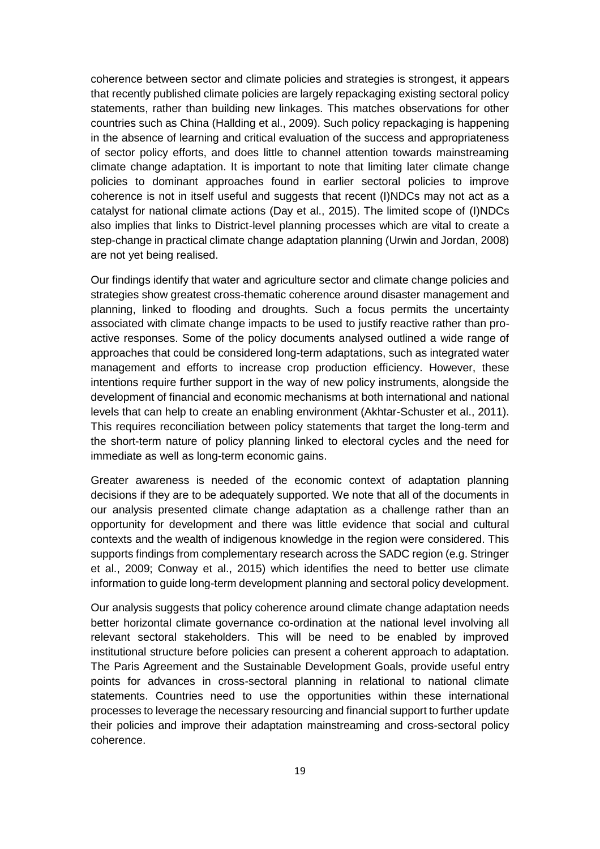coherence between sector and climate policies and strategies is strongest, it appears that recently published climate policies are largely repackaging existing sectoral policy statements, rather than building new linkages. This matches observations for other countries such as China (Hallding et al., 2009). Such policy repackaging is happening in the absence of learning and critical evaluation of the success and appropriateness of sector policy efforts, and does little to channel attention towards mainstreaming climate change adaptation. It is important to note that limiting later climate change policies to dominant approaches found in earlier sectoral policies to improve coherence is not in itself useful and suggests that recent (I)NDCs may not act as a catalyst for national climate actions (Day et al., 2015). The limited scope of (I)NDCs also implies that links to District-level planning processes which are vital to create a step-change in practical climate change adaptation planning (Urwin and Jordan, 2008) are not yet being realised.

Our findings identify that water and agriculture sector and climate change policies and strategies show greatest cross-thematic coherence around disaster management and planning, linked to flooding and droughts. Such a focus permits the uncertainty associated with climate change impacts to be used to justify reactive rather than proactive responses. Some of the policy documents analysed outlined a wide range of approaches that could be considered long-term adaptations, such as integrated water management and efforts to increase crop production efficiency. However, these intentions require further support in the way of new policy instruments, alongside the development of financial and economic mechanisms at both international and national levels that can help to create an enabling environment (Akhtar-Schuster et al., 2011). This requires reconciliation between policy statements that target the long-term and the short-term nature of policy planning linked to electoral cycles and the need for immediate as well as long-term economic gains.

Greater awareness is needed of the economic context of adaptation planning decisions if they are to be adequately supported. We note that all of the documents in our analysis presented climate change adaptation as a challenge rather than an opportunity for development and there was little evidence that social and cultural contexts and the wealth of indigenous knowledge in the region were considered. This supports findings from complementary research across the SADC region (e.g. Stringer et al., 2009; Conway et al., 2015) which identifies the need to better use climate information to guide long-term development planning and sectoral policy development.

Our analysis suggests that policy coherence around climate change adaptation needs better horizontal climate governance co-ordination at the national level involving all relevant sectoral stakeholders. This will be need to be enabled by improved institutional structure before policies can present a coherent approach to adaptation. The Paris Agreement and the Sustainable Development Goals, provide useful entry points for advances in cross-sectoral planning in relational to national climate statements. Countries need to use the opportunities within these international processes to leverage the necessary resourcing and financial support to further update their policies and improve their adaptation mainstreaming and cross-sectoral policy coherence.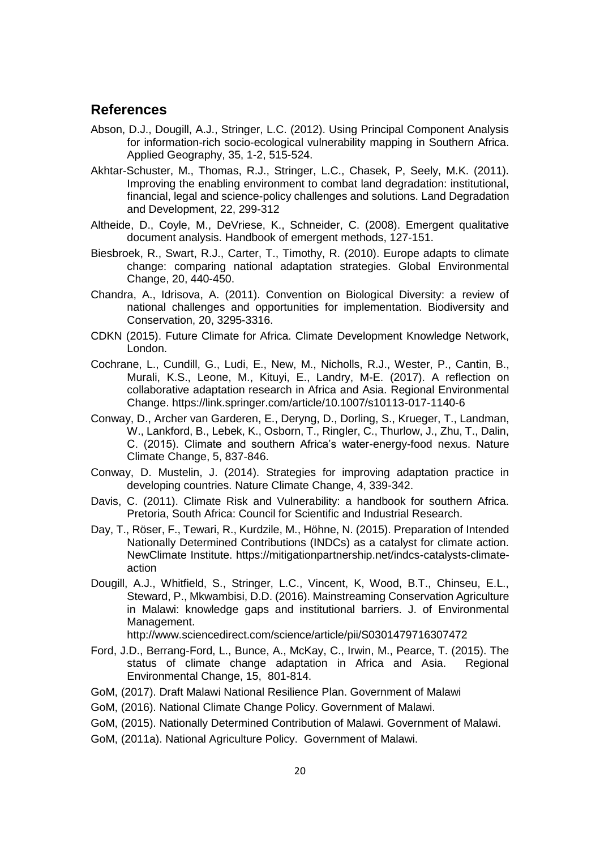#### **References**

- Abson, D.J., Dougill, A.J., Stringer, L.C. (2012). Using Principal Component Analysis for information-rich socio-ecological vulnerability mapping in Southern Africa. Applied Geography, 35, 1-2, 515-524.
- Akhtar-Schuster, M., Thomas, R.J., Stringer, L.C., Chasek, P, Seely, M.K. (2011). Improving the enabling environment to combat land degradation: institutional, financial, legal and science-policy challenges and solutions. Land Degradation and Development, 22, 299-312
- Altheide, D., Coyle, M., DeVriese, K., Schneider, C. (2008). Emergent qualitative document analysis. Handbook of emergent methods, 127-151.
- Biesbroek, R., Swart, R.J., Carter, T., Timothy, R. (2010). Europe adapts to climate change: comparing national adaptation strategies. Global Environmental Change, 20, 440-450.
- Chandra, A., Idrisova, A. (2011). Convention on Biological Diversity: a review of national challenges and opportunities for implementation. Biodiversity and Conservation, 20, 3295-3316.
- CDKN (2015). Future Climate for Africa. Climate Development Knowledge Network, London.
- Cochrane, L., Cundill, G., Ludi, E., New, M., Nicholls, R.J., Wester, P., Cantin, B., Murali, K.S., Leone, M., Kituyi, E., Landry, M-E. (2017). A reflection on collaborative adaptation research in Africa and Asia. Regional Environmental Change. https://link.springer.com/article/10.1007/s10113-017-1140-6
- Conway, D., Archer van Garderen, E., Deryng, D., Dorling, S., Krueger, T., Landman, W., Lankford, B., Lebek, K., Osborn, T., Ringler, C., Thurlow, J., Zhu, T., Dalin, C. (2015). Climate and southern Africa's water-energy-food nexus. Nature Climate Change, 5, 837-846.
- Conway, D. Mustelin, J. (2014). Strategies for improving adaptation practice in developing countries. Nature Climate Change, 4, 339-342.
- Davis, C. (2011). Climate Risk and Vulnerability: a handbook for southern Africa. Pretoria, South Africa: Council for Scientific and Industrial Research.
- Day, T., Röser, F., Tewari, R., Kurdzile, M., Höhne, N. (2015). Preparation of Intended Nationally Determined Contributions (INDCs) as a catalyst for climate action. NewClimate Institute. https://mitigationpartnership.net/indcs-catalysts-climateaction
- Dougill, A.J., Whitfield, S., Stringer, L.C., Vincent, K, Wood, B.T., Chinseu, E.L., Steward, P., Mkwambisi, D.D. (2016). Mainstreaming Conservation Agriculture in Malawi: knowledge gaps and institutional barriers. J. of Environmental Management.

http://www.sciencedirect.com/science/article/pii/S0301479716307472

- Ford, J.D., Berrang-Ford, L., Bunce, A., McKay, C., Irwin, M., Pearce, T. (2015). The status of climate change adaptation in Africa and Asia. Regional Environmental Change, 15, 801-814.
- GoM, (2017). Draft Malawi National Resilience Plan. Government of Malawi
- GoM, (2016). National Climate Change Policy. Government of Malawi.
- GoM, (2015). Nationally Determined Contribution of Malawi. Government of Malawi.
- GoM, (2011a). National Agriculture Policy. Government of Malawi.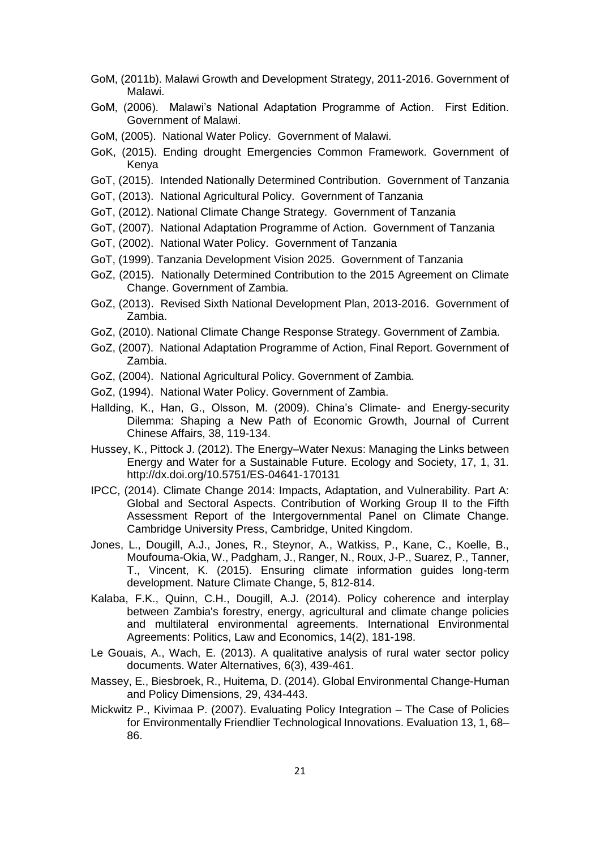- GoM, (2011b). Malawi Growth and Development Strategy, 2011-2016. Government of Malawi.
- GoM, (2006). Malawi's National Adaptation Programme of Action. First Edition. Government of Malawi.
- GoM, (2005). National Water Policy. Government of Malawi.
- GoK, (2015). Ending drought Emergencies Common Framework. Government of Kenya
- GoT, (2015). Intended Nationally Determined Contribution. Government of Tanzania
- GoT, (2013). National Agricultural Policy. Government of Tanzania
- GoT, (2012). National Climate Change Strategy. Government of Tanzania
- GoT, (2007). National Adaptation Programme of Action. Government of Tanzania
- GoT, (2002). National Water Policy. Government of Tanzania
- GoT, (1999). Tanzania Development Vision 2025. Government of Tanzania
- GoZ, (2015). Nationally Determined Contribution to the 2015 Agreement on Climate Change. Government of Zambia.
- GoZ, (2013). Revised Sixth National Development Plan, 2013-2016. Government of Zambia.
- GoZ, (2010). National Climate Change Response Strategy. Government of Zambia.
- GoZ, (2007). National Adaptation Programme of Action, Final Report. Government of Zambia.
- GoZ, (2004). National Agricultural Policy. Government of Zambia.
- GoZ, (1994). National Water Policy. Government of Zambia.
- Hallding, K., Han, G., Olsson, M. (2009). China's Climate- and Energy-security Dilemma: Shaping a New Path of Economic Growth, Journal of Current Chinese Affairs, 38, 119-134.
- Hussey, K., Pittock J. (2012). The Energy–Water Nexus: Managing the Links between Energy and Water for a Sustainable Future. Ecology and Society, 17, 1, 31. http://dx.doi.org/10.5751/ES-04641-170131
- IPCC, (2014). Climate Change 2014: Impacts, Adaptation, and Vulnerability. Part A: Global and Sectoral Aspects. Contribution of Working Group II to the Fifth Assessment Report of the Intergovernmental Panel on Climate Change. Cambridge University Press, Cambridge, United Kingdom.
- Jones, L., Dougill, A.J., Jones, R., Steynor, A., Watkiss, P., Kane, C., Koelle, B., Moufouma-Okia, W., Padgham, J., Ranger, N., Roux, J-P., Suarez, P., Tanner, T., Vincent, K. (2015). Ensuring climate information guides long-term development. Nature Climate Change, 5, 812-814.
- Kalaba, F.K., Quinn, C.H., Dougill, A.J. (2014). Policy coherence and interplay between Zambia's forestry, energy, agricultural and climate change policies and multilateral environmental agreements. International Environmental Agreements: Politics, Law and Economics, 14(2), 181-198.
- Le Gouais, A., Wach, E. (2013). A qualitative analysis of rural water sector policy documents. Water Alternatives, 6(3), 439-461.
- Massey, E., Biesbroek, R., Huitema, D. (2014). Global Environmental Change-Human and Policy Dimensions, 29, 434-443.
- Mickwitz P., Kivimaa P. (2007). Evaluating Policy Integration The Case of Policies for Environmentally Friendlier Technological Innovations. Evaluation 13, 1, 68– 86.